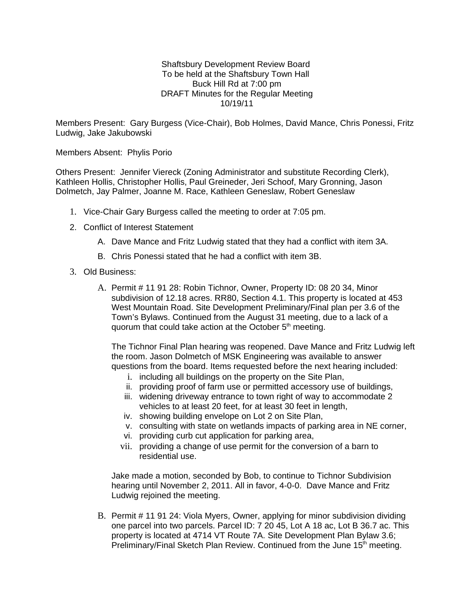Shaftsbury Development Review Board To be held at the Shaftsbury Town Hall Buck Hill Rd at 7:00 pm DRAFT Minutes for the Regular Meeting 10/19/11

Members Present: Gary Burgess (Vice-Chair), Bob Holmes, David Mance, Chris Ponessi, Fritz Ludwig, Jake Jakubowski

## Members Absent: Phylis Porio

Others Present: Jennifer Viereck (Zoning Administrator and substitute Recording Clerk), Kathleen Hollis, Christopher Hollis, Paul Greineder, Jeri Schoof, Mary Gronning, Jason Dolmetch, Jay Palmer, Joanne M. Race, Kathleen Geneslaw, Robert Geneslaw

- 1. Vice-Chair Gary Burgess called the meeting to order at 7:05 pm.
- 2. Conflict of Interest Statement
	- A. Dave Mance and Fritz Ludwig stated that they had a conflict with item 3A.
	- B. Chris Ponessi stated that he had a conflict with item 3B.
- 3. Old Business:
	- A. Permit # 11 91 28: Robin Tichnor, Owner, Property ID: 08 20 34, Minor subdivision of 12.18 acres. RR80, Section 4.1. This property is located at 453 West Mountain Road. Site Development Preliminary/Final plan per 3.6 of the Town's Bylaws. Continued from the August 31 meeting, due to a lack of a quorum that could take action at the October  $5<sup>th</sup>$  meeting.

The Tichnor Final Plan hearing was reopened. Dave Mance and Fritz Ludwig left the room. Jason Dolmetch of MSK Engineering was available to answer questions from the board. Items requested before the next hearing included:

- i. including all buildings on the property on the Site Plan,
- ii. providing proof of farm use or permitted accessory use of buildings,
- iii. widening driveway entrance to town right of way to accommodate 2 vehicles to at least 20 feet, for at least 30 feet in length,
- iv. showing building envelope on Lot 2 on Site Plan,
- v. consulting with state on wetlands impacts of parking area in NE corner,
- vi. providing curb cut application for parking area,
- vii. providing a change of use permit for the conversion of a barn to residential use.

Jake made a motion, seconded by Bob, to continue to Tichnor Subdivision hearing until November 2, 2011. All in favor, 4-0-0. Dave Mance and Fritz Ludwig rejoined the meeting.

B. Permit # 11 91 24: Viola Myers, Owner, applying for minor subdivision dividing one parcel into two parcels. Parcel ID: 7 20 45, Lot A 18 ac, Lot B 36.7 ac. This property is located at 4714 VT Route 7A. Site Development Plan Bylaw 3.6; Preliminary/Final Sketch Plan Review. Continued from the June  $15<sup>th</sup>$  meeting.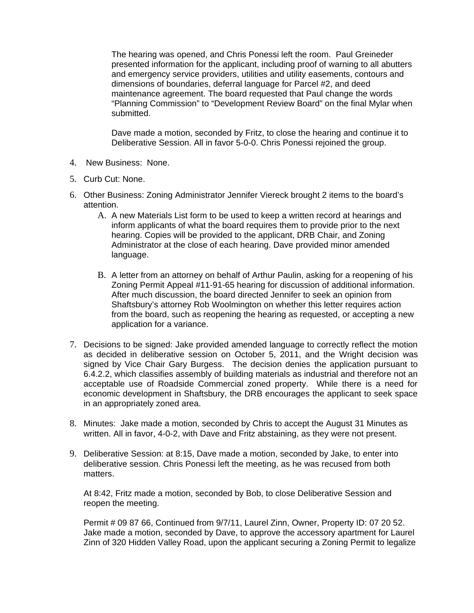The hearing was opened, and Chris Ponessi left the room. Paul Greineder presented information for the applicant, including proof of warning to all abutters and emergency service providers, utilities and utility easements, contours and dimensions of boundaries, deferral language for Parcel #2, and deed maintenance agreement. The board requested that Paul change the words "Planning Commission" to "Development Review Board" on the final Mylar when submitted.

Dave made a motion, seconded by Fritz, to close the hearing and continue it to Deliberative Session. All in favor 5-0-0. Chris Ponessi rejoined the group.

- 4. New Business: None.
- 5. Curb Cut: None.
- 6. Other Business: Zoning Administrator Jennifer Viereck brought 2 items to the board's attention.
	- A. A new Materials List form to be used to keep a written record at hearings and inform applicants of what the board requires them to provide prior to the next hearing. Copies will be provided to the applicant, DRB Chair, and Zoning Administrator at the close of each hearing. Dave provided minor amended language.
	- B. A letter from an attorney on behalf of Arthur Paulin, asking for a reopening of his Zoning Permit Appeal #11-91-65 hearing for discussion of additional information. After much discussion, the board directed Jennifer to seek an opinion from Shaftsbury's attorney Rob Woolmington on whether this letter requires action from the board, such as reopening the hearing as requested, or accepting a new application for a variance.
- 7. Decisions to be signed: Jake provided amended language to correctly reflect the motion as decided in deliberative session on October 5, 2011, and the Wright decision was signed by Vice Chair Gary Burgess. The decision denies the application pursuant to 6.4.2.2, which classifies assembly of building materials as industrial and therefore not an acceptable use of Roadside Commercial zoned property. While there is a need for economic development in Shaftsbury, the DRB encourages the applicant to seek space in an appropriately zoned area.
- 8. Minutes: Jake made a motion, seconded by Chris to accept the August 31 Minutes as written. All in favor, 4-0-2, with Dave and Fritz abstaining, as they were not present.
- 9. Deliberative Session: at 8:15, Dave made a motion, seconded by Jake, to enter into deliberative session. Chris Ponessi left the meeting, as he was recused from both matters.

At 8:42, Fritz made a motion, seconded by Bob, to close Deliberative Session and reopen the meeting.

Permit # 09 87 66, Continued from 9/7/11, Laurel Zinn, Owner, Property ID: 07 20 52. Jake made a motion, seconded by Dave, to approve the accessory apartment for Laurel Zinn of 320 Hidden Valley Road, upon the applicant securing a Zoning Permit to legalize